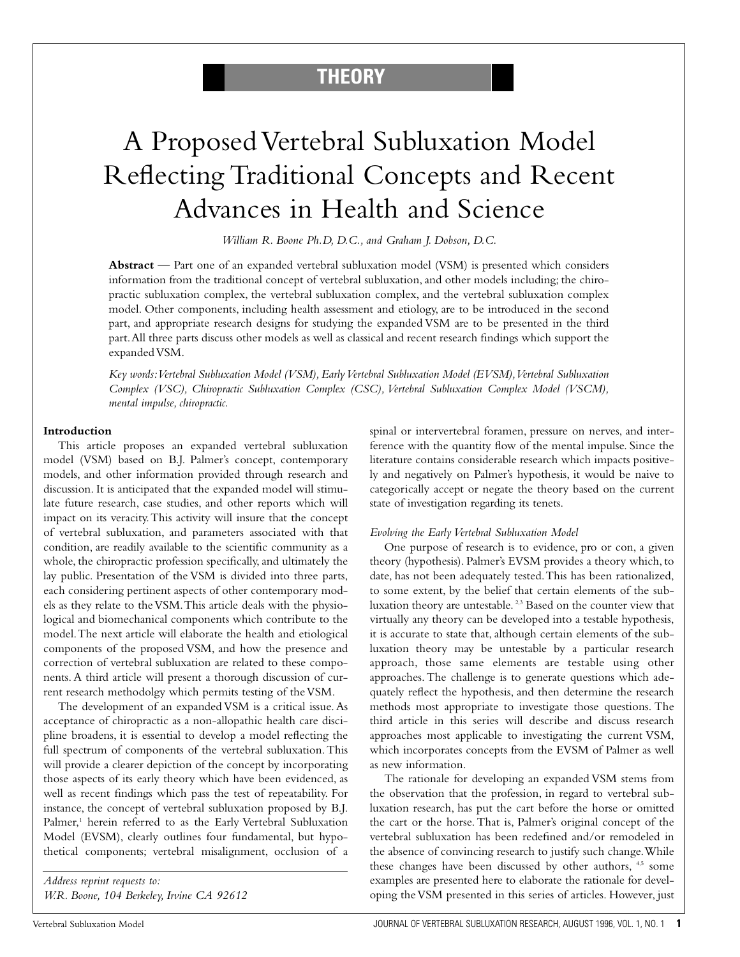# **THEORY**

# A Proposed Vertebral Subluxation Model Reflecting Traditional Concepts and Recent Advances in Health and Science

*William R. Boone Ph.D, D.C., and Graham J. Dobson, D.C.*

**Abstract** — Part one of an expanded vertebral subluxation model (VSM) is presented which considers information from the traditional concept of vertebral subluxation, and other models including; the chiropractic subluxation complex, the vertebral subluxation complex, and the vertebral subluxation complex model. Other components, including health assessment and etiology, are to be introduced in the second part, and appropriate research designs for studying the expanded VSM are to be presented in the third part.All three parts discuss other models as well as classical and recent research findings which support the expanded VSM.

*Key words:Vertebral Subluxation Model (VSM), Early Vertebral Subluxation Model (EVSM),Vertebral Subluxation Complex (VSC), Chiropractic Subluxation Complex (CSC), Vertebral Subluxation Complex Model (VSCM), mental impulse, chiropractic.*

#### **Introduction**

This article proposes an expanded vertebral subluxation model (VSM) based on B.J. Palmer's concept, contemporary models, and other information provided through research and discussion. It is anticipated that the expanded model will stimulate future research, case studies, and other reports which will impact on its veracity.This activity will insure that the concept of vertebral subluxation, and parameters associated with that condition, are readily available to the scientific community as a whole, the chiropractic profession specifically, and ultimately the lay public. Presentation of the VSM is divided into three parts, each considering pertinent aspects of other contemporary models as they relate to the VSM.This article deals with the physiological and biomechanical components which contribute to the model.The next article will elaborate the health and etiological components of the proposed VSM, and how the presence and correction of vertebral subluxation are related to these components. A third article will present a thorough discussion of current research methodolgy which permits testing of the VSM.

The development of an expanded VSM is a critical issue. As acceptance of chiropractic as a non-allopathic health care discipline broadens, it is essential to develop a model reflecting the full spectrum of components of the vertebral subluxation.This will provide a clearer depiction of the concept by incorporating those aspects of its early theory which have been evidenced, as well as recent findings which pass the test of repeatability. For instance, the concept of vertebral subluxation proposed by B.J. Palmer,<sup>1</sup> herein referred to as the Early Vertebral Subluxation Model (EVSM), clearly outlines four fundamental, but hypothetical components; vertebral misalignment, occlusion of a

*Address reprint requests to: W.R. Boone, 104 Berkeley, Irvine CA 92612* spinal or intervertebral foramen, pressure on nerves, and interference with the quantity flow of the mental impulse. Since the literature contains considerable research which impacts positively and negatively on Palmer's hypothesis, it would be naive to categorically accept or negate the theory based on the current state of investigation regarding its tenets.

#### *Evolving the Early Vertebral Subluxation Model*

One purpose of research is to evidence, pro or con, a given theory (hypothesis). Palmer's EVSM provides a theory which, to date, has not been adequately tested.This has been rationalized, to some extent, by the belief that certain elements of the subluxation theory are untestable.<sup>2,3</sup> Based on the counter view that virtually any theory can be developed into a testable hypothesis, it is accurate to state that, although certain elements of the subluxation theory may be untestable by a particular research approach, those same elements are testable using other approaches. The challenge is to generate questions which adequately reflect the hypothesis, and then determine the research methods most appropriate to investigate those questions. The third article in this series will describe and discuss research approaches most applicable to investigating the current VSM, which incorporates concepts from the EVSM of Palmer as well as new information.

The rationale for developing an expanded VSM stems from the observation that the profession, in regard to vertebral subluxation research, has put the cart before the horse or omitted the cart or the horse. That is, Palmer's original concept of the vertebral subluxation has been redefined and/or remodeled in the absence of convincing research to justify such change.While these changes have been discussed by other authors, 4,5 some examples are presented here to elaborate the rationale for developing the VSM presented in this series of articles. However, just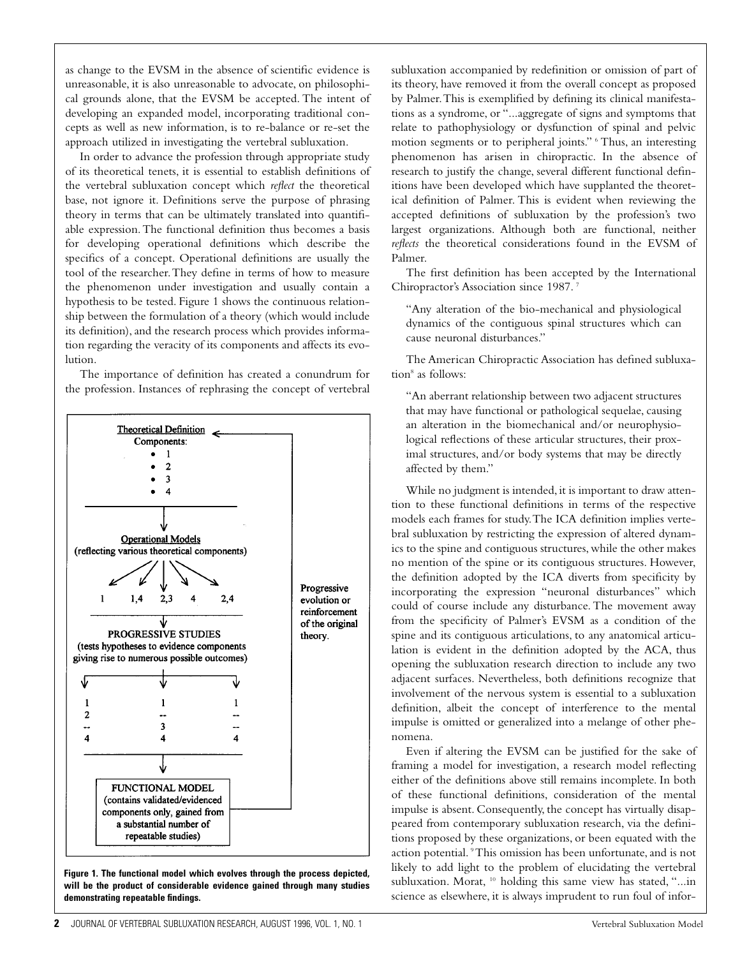as change to the EVSM in the absence of scientific evidence is unreasonable, it is also unreasonable to advocate, on philosophical grounds alone, that the EVSM be accepted. The intent of developing an expanded model, incorporating traditional concepts as well as new information, is to re-balance or re-set the approach utilized in investigating the vertebral subluxation.

In order to advance the profession through appropriate study of its theoretical tenets, it is essential to establish definitions of the vertebral subluxation concept which *reflect* the theoretical base, not ignore it. Definitions serve the purpose of phrasing theory in terms that can be ultimately translated into quantifiable expression.The functional definition thus becomes a basis for developing operational definitions which describe the specifics of a concept. Operational definitions are usually the tool of the researcher.They define in terms of how to measure the phenomenon under investigation and usually contain a hypothesis to be tested. Figure 1 shows the continuous relationship between the formulation of a theory (which would include its definition), and the research process which provides information regarding the veracity of its components and affects its evolution.

The importance of definition has created a conundrum for the profession. Instances of rephrasing the concept of vertebral



**Figure 1. The functional model which evolves through the process depicted, will be the product of considerable evidence gained through many studies demonstrating repeatable findings.**

subluxation accompanied by redefinition or omission of part of its theory, have removed it from the overall concept as proposed by Palmer.This is exemplified by defining its clinical manifestations as a syndrome, or "...aggregate of signs and symptoms that relate to pathophysiology or dysfunction of spinal and pelvic motion segments or to peripheral joints." <sup>6</sup> Thus, an interesting phenomenon has arisen in chiropractic. In the absence of research to justify the change, several different functional definitions have been developed which have supplanted the theoretical definition of Palmer. This is evident when reviewing the accepted definitions of subluxation by the profession's two largest organizations. Although both are functional, neither *reflects* the theoretical considerations found in the EVSM of Palmer.

The first definition has been accepted by the International Chiropractor's Association since 1987. <sup>7</sup>

"Any alteration of the bio-mechanical and physiological dynamics of the contiguous spinal structures which can cause neuronal disturbances."

The American Chiropractic Association has defined subluxation<sup>8</sup> as follows:

"An aberrant relationship between two adjacent structures that may have functional or pathological sequelae, causing an alteration in the biomechanical and/or neurophysiological reflections of these articular structures, their proximal structures, and/or body systems that may be directly affected by them."

While no judgment is intended, it is important to draw attention to these functional definitions in terms of the respective models each frames for study.The ICA definition implies vertebral subluxation by restricting the expression of altered dynamics to the spine and contiguous structures, while the other makes no mention of the spine or its contiguous structures. However, the definition adopted by the ICA diverts from specificity by incorporating the expression "neuronal disturbances" which could of course include any disturbance. The movement away from the specificity of Palmer's EVSM as a condition of the spine and its contiguous articulations, to any anatomical articulation is evident in the definition adopted by the ACA, thus opening the subluxation research direction to include any two adjacent surfaces. Nevertheless, both definitions recognize that involvement of the nervous system is essential to a subluxation definition, albeit the concept of interference to the mental impulse is omitted or generalized into a melange of other phenomena.

Even if altering the EVSM can be justified for the sake of framing a model for investigation, a research model reflecting either of the definitions above still remains incomplete. In both of these functional definitions, consideration of the mental impulse is absent. Consequently, the concept has virtually disappeared from contemporary subluxation research, via the definitions proposed by these organizations, or been equated with the action potential. 9This omission has been unfortunate, and is not likely to add light to the problem of elucidating the vertebral subluxation. Morat, <sup>10</sup> holding this same view has stated, "...in science as elsewhere, it is always imprudent to run foul of infor-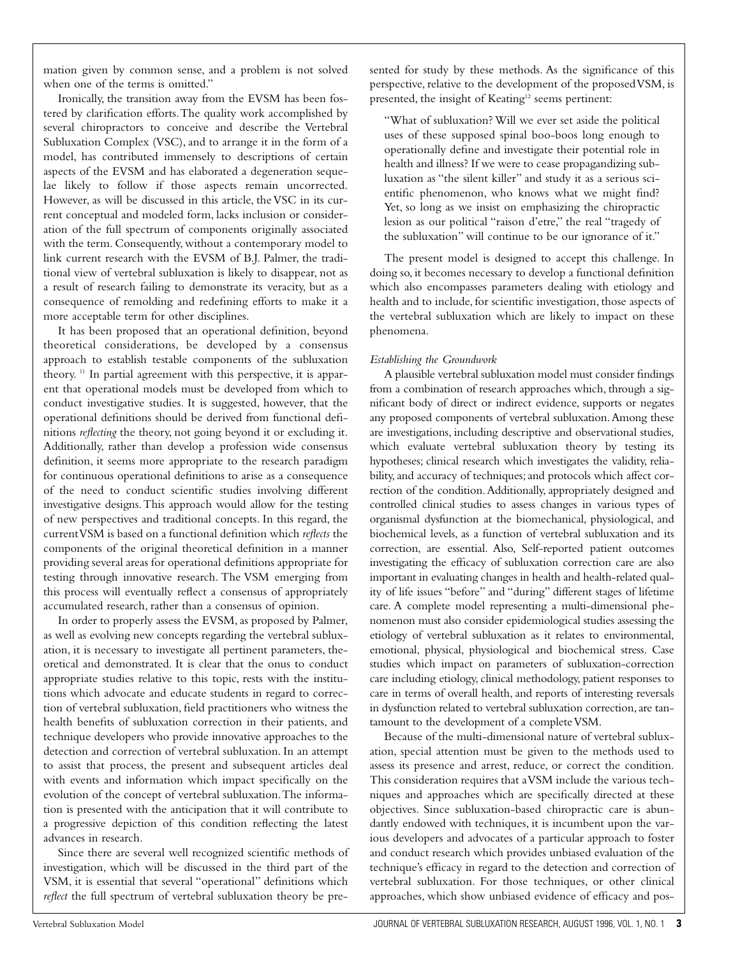mation given by common sense, and a problem is not solved when one of the terms is omitted."

Ironically, the transition away from the EVSM has been fostered by clarification efforts.The quality work accomplished by several chiropractors to conceive and describe the Vertebral Subluxation Complex (VSC), and to arrange it in the form of a model, has contributed immensely to descriptions of certain aspects of the EVSM and has elaborated a degeneration sequelae likely to follow if those aspects remain uncorrected. However, as will be discussed in this article, the VSC in its current conceptual and modeled form, lacks inclusion or consideration of the full spectrum of components originally associated with the term. Consequently, without a contemporary model to link current research with the EVSM of B.J. Palmer, the traditional view of vertebral subluxation is likely to disappear, not as a result of research failing to demonstrate its veracity, but as a consequence of remolding and redefining efforts to make it a more acceptable term for other disciplines.

It has been proposed that an operational definition, beyond theoretical considerations, be developed by a consensus approach to establish testable components of the subluxation theory. <sup>11</sup> In partial agreement with this perspective, it is apparent that operational models must be developed from which to conduct investigative studies. It is suggested, however, that the operational definitions should be derived from functional definitions *reflecting* the theory, not going beyond it or excluding it. Additionally, rather than develop a profession wide consensus definition, it seems more appropriate to the research paradigm for continuous operational definitions to arise as a consequence of the need to conduct scientific studies involving different investigative designs.This approach would allow for the testing of new perspectives and traditional concepts. In this regard, the current VSM is based on a functional definition which *reflects* the components of the original theoretical definition in a manner providing several areas for operational definitions appropriate for testing through innovative research. The VSM emerging from this process will eventually reflect a consensus of appropriately accumulated research, rather than a consensus of opinion.

In order to properly assess the EVSM, as proposed by Palmer, as well as evolving new concepts regarding the vertebral subluxation, it is necessary to investigate all pertinent parameters, theoretical and demonstrated. It is clear that the onus to conduct appropriate studies relative to this topic, rests with the institutions which advocate and educate students in regard to correction of vertebral subluxation, field practitioners who witness the health benefits of subluxation correction in their patients, and technique developers who provide innovative approaches to the detection and correction of vertebral subluxation. In an attempt to assist that process, the present and subsequent articles deal with events and information which impact specifically on the evolution of the concept of vertebral subluxation.The information is presented with the anticipation that it will contribute to a progressive depiction of this condition reflecting the latest advances in research.

Since there are several well recognized scientific methods of investigation, which will be discussed in the third part of the VSM, it is essential that several "operational" definitions which *reflect* the full spectrum of vertebral subluxation theory be presented for study by these methods. As the significance of this perspective, relative to the development of the proposed VSM, is presented, the insight of Keating<sup>12</sup> seems pertinent:

"What of subluxation? Will we ever set aside the political uses of these supposed spinal boo-boos long enough to operationally define and investigate their potential role in health and illness? If we were to cease propagandizing subluxation as "the silent killer" and study it as a serious scientific phenomenon, who knows what we might find? Yet, so long as we insist on emphasizing the chiropractic lesion as our political "raison d'etre," the real "tragedy of the subluxation" will continue to be our ignorance of it."

The present model is designed to accept this challenge. In doing so, it becomes necessary to develop a functional definition which also encompasses parameters dealing with etiology and health and to include, for scientific investigation, those aspects of the vertebral subluxation which are likely to impact on these phenomena.

#### *Establishing the Groundwork*

A plausible vertebral subluxation model must consider findings from a combination of research approaches which, through a significant body of direct or indirect evidence, supports or negates any proposed components of vertebral subluxation.Among these are investigations, including descriptive and observational studies, which evaluate vertebral subluxation theory by testing its hypotheses; clinical research which investigates the validity, reliability, and accuracy of techniques; and protocols which affect correction of the condition.Additionally, appropriately designed and controlled clinical studies to assess changes in various types of organismal dysfunction at the biomechanical, physiological, and biochemical levels, as a function of vertebral subluxation and its correction, are essential. Also, Self-reported patient outcomes investigating the efficacy of subluxation correction care are also important in evaluating changes in health and health-related quality of life issues "before" and "during" different stages of lifetime care. A complete model representing a multi-dimensional phenomenon must also consider epidemiological studies assessing the etiology of vertebral subluxation as it relates to environmental, emotional, physical, physiological and biochemical stress. Case studies which impact on parameters of subluxation-correction care including etiology, clinical methodology, patient responses to care in terms of overall health, and reports of interesting reversals in dysfunction related to vertebral subluxation correction,are tantamount to the development of a complete VSM.

Because of the multi-dimensional nature of vertebral subluxation, special attention must be given to the methods used to assess its presence and arrest, reduce, or correct the condition. This consideration requires that a VSM include the various techniques and approaches which are specifically directed at these objectives. Since subluxation-based chiropractic care is abundantly endowed with techniques, it is incumbent upon the various developers and advocates of a particular approach to foster and conduct research which provides unbiased evaluation of the technique's efficacy in regard to the detection and correction of vertebral subluxation. For those techniques, or other clinical approaches, which show unbiased evidence of efficacy and pos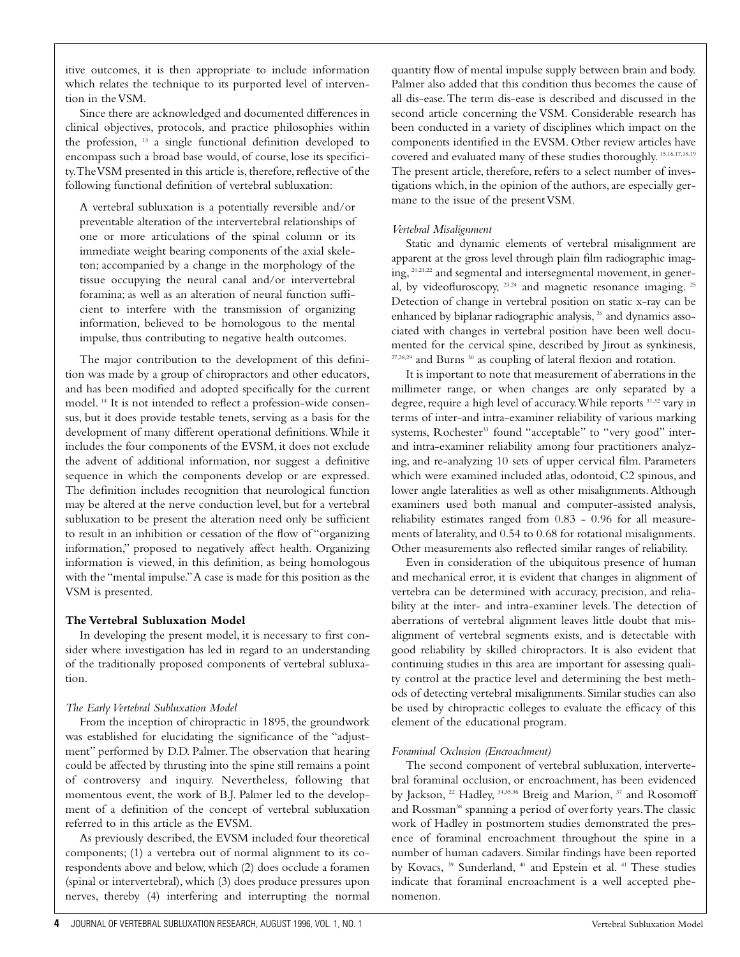itive outcomes, it is then appropriate to include information which relates the technique to its purported level of intervention in the VSM.

Since there are acknowledged and documented differences in clinical objectives, protocols, and practice philosophies within the profession, <sup>13</sup> a single functional definition developed to encompass such a broad base would, of course, lose its specificity.The VSM presented in this article is, therefore, reflective of the following functional definition of vertebral subluxation:

A vertebral subluxation is a potentially reversible and/or preventable alteration of the intervertebral relationships of one or more articulations of the spinal column or its immediate weight bearing components of the axial skeleton; accompanied by a change in the morphology of the tissue occupying the neural canal and/or intervertebral foramina; as well as an alteration of neural function sufficient to interfere with the transmission of organizing information, believed to be homologous to the mental impulse, thus contributing to negative health outcomes.

The major contribution to the development of this definition was made by a group of chiropractors and other educators, and has been modified and adopted specifically for the current model. <sup>14</sup> It is not intended to reflect a profession-wide consensus, but it does provide testable tenets, serving as a basis for the development of many different operational definitions.While it includes the four components of the EVSM, it does not exclude the advent of additional information, nor suggest a definitive sequence in which the components develop or are expressed. The definition includes recognition that neurological function may be altered at the nerve conduction level, but for a vertebral subluxation to be present the alteration need only be sufficient to result in an inhibition or cessation of the flow of "organizing information," proposed to negatively affect health. Organizing information is viewed, in this definition, as being homologous with the "mental impulse."A case is made for this position as the VSM is presented.

#### **The Vertebral Subluxation Model**

In developing the present model, it is necessary to first consider where investigation has led in regard to an understanding of the traditionally proposed components of vertebral subluxation.

# *The Early Vertebral Subluxation Model*

From the inception of chiropractic in 1895, the groundwork was established for elucidating the significance of the "adjustment" performed by D.D. Palmer.The observation that hearing could be affected by thrusting into the spine still remains a point of controversy and inquiry. Nevertheless, following that momentous event, the work of B.J. Palmer led to the development of a definition of the concept of vertebral subluxation referred to in this article as the EVSM.

As previously described, the EVSM included four theoretical components; (1) a vertebra out of normal alignment to its corespondents above and below, which (2) does occlude a foramen (spinal or intervertebral), which (3) does produce pressures upon nerves, thereby (4) interfering and interrupting the normal quantity flow of mental impulse supply between brain and body. Palmer also added that this condition thus becomes the cause of all dis-ease.The term dis-ease is described and discussed in the second article concerning the VSM. Considerable research has been conducted in a variety of disciplines which impact on the components identified in the EVSM. Other review articles have covered and evaluated many of these studies thoroughly. 15,16,17,18,19 The present article, therefore, refers to a select number of investigations which, in the opinion of the authors, are especially germane to the issue of the present VSM.

## *Vertebral Misalignment*

Static and dynamic elements of vertebral misalignment are apparent at the gross level through plain film radiographic imaging, 20,21,22 and segmental and intersegmental movement, in general, by videofluroscopy, 23,24 and magnetic resonance imaging. <sup>25</sup> Detection of change in vertebral position on static x-ray can be enhanced by biplanar radiographic analysis, <sup>26</sup> and dynamics associated with changes in vertebral position have been well documented for the cervical spine, described by Jirout as synkinesis, 27,28,29 and Burns 30 as coupling of lateral flexion and rotation.

It is important to note that measurement of aberrations in the millimeter range, or when changes are only separated by a degree, require a high level of accuracy.While reports 31,32 vary in terms of inter-and intra-examiner reliability of various marking systems, Rochester<sup>33</sup> found "acceptable" to "very good" interand intra-examiner reliability among four practitioners analyzing, and re-analyzing 10 sets of upper cervical film. Parameters which were examined included atlas, odontoid, C2 spinous, and lower angle lateralities as well as other misalignments.Although examiners used both manual and computer-assisted analysis, reliability estimates ranged from 0.83 - 0.96 for all measurements of laterality, and 0.54 to 0.68 for rotational misalignments. Other measurements also reflected similar ranges of reliability.

Even in consideration of the ubiquitous presence of human and mechanical error, it is evident that changes in alignment of vertebra can be determined with accuracy, precision, and reliability at the inter- and intra-examiner levels. The detection of aberrations of vertebral alignment leaves little doubt that misalignment of vertebral segments exists, and is detectable with good reliability by skilled chiropractors. It is also evident that continuing studies in this area are important for assessing quality control at the practice level and determining the best methods of detecting vertebral misalignments. Similar studies can also be used by chiropractic colleges to evaluate the efficacy of this element of the educational program.

# *Foraminal Occlusion (Encroachment)*

The second component of vertebral subluxation, intervertebral foraminal occlusion, or encroachment, has been evidenced by Jackson, <sup>22</sup> Hadley, <sup>34,35,36</sup> Breig and Marion, <sup>37</sup> and Rosomoff and Rossman<sup>38</sup> spanning a period of over forty years. The classic work of Hadley in postmortem studies demonstrated the presence of foraminal encroachment throughout the spine in a number of human cadavers. Similar findings have been reported by Kovacs, <sup>39</sup> Sunderland, <sup>40</sup> and Epstein et al. <sup>41</sup> These studies indicate that foraminal encroachment is a well accepted phenomenon.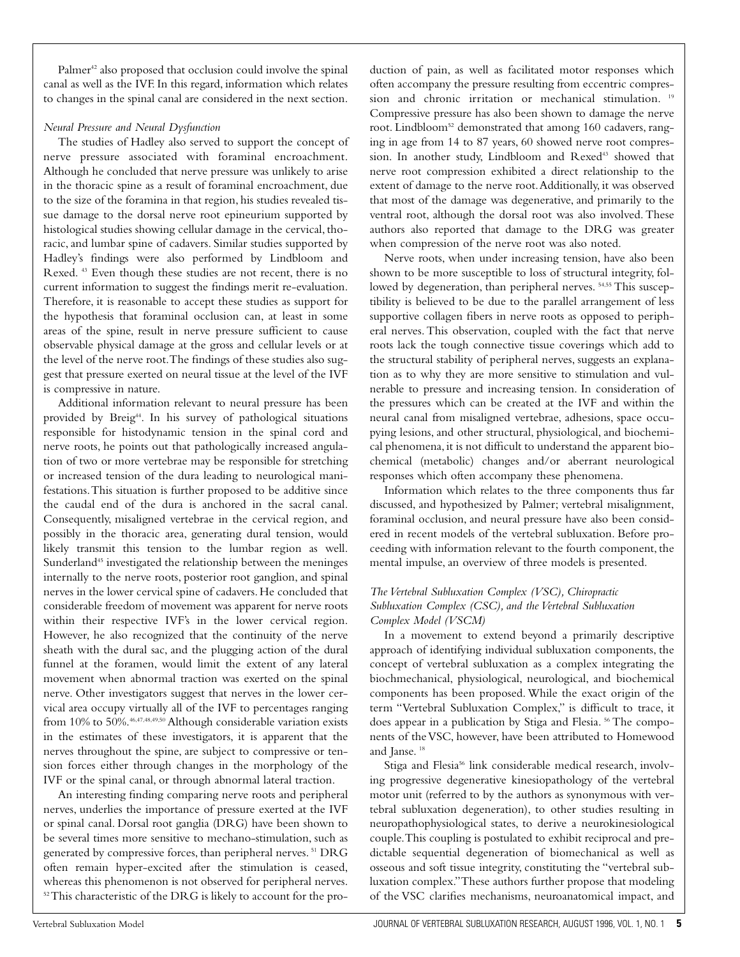Palmer<sup>42</sup> also proposed that occlusion could involve the spinal canal as well as the IVF. In this regard, information which relates to changes in the spinal canal are considered in the next section.

#### *Neural Pressure and Neural Dysfunction*

The studies of Hadley also served to support the concept of nerve pressure associated with foraminal encroachment. Although he concluded that nerve pressure was unlikely to arise in the thoracic spine as a result of foraminal encroachment, due to the size of the foramina in that region, his studies revealed tissue damage to the dorsal nerve root epineurium supported by histological studies showing cellular damage in the cervical, thoracic, and lumbar spine of cadavers. Similar studies supported by Hadley's findings were also performed by Lindbloom and Rexed. <sup>43</sup> Even though these studies are not recent, there is no current information to suggest the findings merit re-evaluation. Therefore, it is reasonable to accept these studies as support for the hypothesis that foraminal occlusion can, at least in some areas of the spine, result in nerve pressure sufficient to cause observable physical damage at the gross and cellular levels or at the level of the nerve root.The findings of these studies also suggest that pressure exerted on neural tissue at the level of the IVF is compressive in nature.

Additional information relevant to neural pressure has been provided by Breig<sup>44</sup>. In his survey of pathological situations responsible for histodynamic tension in the spinal cord and nerve roots, he points out that pathologically increased angulation of two or more vertebrae may be responsible for stretching or increased tension of the dura leading to neurological manifestations.This situation is further proposed to be additive since the caudal end of the dura is anchored in the sacral canal. Consequently, misaligned vertebrae in the cervical region, and possibly in the thoracic area, generating dural tension, would likely transmit this tension to the lumbar region as well. Sunderland<sup>45</sup> investigated the relationship between the meninges internally to the nerve roots, posterior root ganglion, and spinal nerves in the lower cervical spine of cadavers. He concluded that considerable freedom of movement was apparent for nerve roots within their respective IVF's in the lower cervical region. However, he also recognized that the continuity of the nerve sheath with the dural sac, and the plugging action of the dural funnel at the foramen, would limit the extent of any lateral movement when abnormal traction was exerted on the spinal nerve. Other investigators suggest that nerves in the lower cervical area occupy virtually all of the IVF to percentages ranging from 10% to 50%.46,47,48,49,50 Although considerable variation exists in the estimates of these investigators, it is apparent that the nerves throughout the spine, are subject to compressive or tension forces either through changes in the morphology of the IVF or the spinal canal, or through abnormal lateral traction.

An interesting finding comparing nerve roots and peripheral nerves, underlies the importance of pressure exerted at the IVF or spinal canal. Dorsal root ganglia (DRG) have been shown to be several times more sensitive to mechano-stimulation, such as generated by compressive forces, than peripheral nerves. <sup>51</sup> DRG often remain hyper-excited after the stimulation is ceased, whereas this phenomenon is not observed for peripheral nerves. 52 This characteristic of the DRG is likely to account for the production of pain, as well as facilitated motor responses which often accompany the pressure resulting from eccentric compression and chronic irritation or mechanical stimulation.<sup>19</sup> Compressive pressure has also been shown to damage the nerve root. Lindbloom<sup>52</sup> demonstrated that among 160 cadavers, ranging in age from 14 to 87 years, 60 showed nerve root compression. In another study, Lindbloom and Rexed<sup>43</sup> showed that nerve root compression exhibited a direct relationship to the extent of damage to the nerve root.Additionally, it was observed that most of the damage was degenerative, and primarily to the ventral root, although the dorsal root was also involved. These authors also reported that damage to the DRG was greater when compression of the nerve root was also noted.

Nerve roots, when under increasing tension, have also been shown to be more susceptible to loss of structural integrity, followed by degeneration, than peripheral nerves.<sup>54,55</sup> This susceptibility is believed to be due to the parallel arrangement of less supportive collagen fibers in nerve roots as opposed to peripheral nerves. This observation, coupled with the fact that nerve roots lack the tough connective tissue coverings which add to the structural stability of peripheral nerves, suggests an explanation as to why they are more sensitive to stimulation and vulnerable to pressure and increasing tension. In consideration of the pressures which can be created at the IVF and within the neural canal from misaligned vertebrae, adhesions, space occupying lesions, and other structural, physiological, and biochemical phenomena, it is not difficult to understand the apparent biochemical (metabolic) changes and/or aberrant neurological responses which often accompany these phenomena.

Information which relates to the three components thus far discussed, and hypothesized by Palmer; vertebral misalignment, foraminal occlusion, and neural pressure have also been considered in recent models of the vertebral subluxation. Before proceeding with information relevant to the fourth component, the mental impulse, an overview of three models is presented.

### *The Vertebral Subluxation Complex (VSC), Chiropractic Subluxation Complex (CSC), and the Vertebral Subluxation Complex Model (VSCM)*

In a movement to extend beyond a primarily descriptive approach of identifying individual subluxation components, the concept of vertebral subluxation as a complex integrating the biochmechanical, physiological, neurological, and biochemical components has been proposed. While the exact origin of the term "Vertebral Subluxation Complex," is difficult to trace, it does appear in a publication by Stiga and Flesia.<sup>56</sup> The components of the VSC, however, have been attributed to Homewood and Janse. <sup>18</sup>

Stiga and Flesia<sup>56</sup> link considerable medical research, involving progressive degenerative kinesiopathology of the vertebral motor unit (referred to by the authors as synonymous with vertebral subluxation degeneration), to other studies resulting in neuropathophysiological states, to derive a neurokinesiological couple.This coupling is postulated to exhibit reciprocal and predictable sequential degeneration of biomechanical as well as osseous and soft tissue integrity, constituting the "vertebral subluxation complex."These authors further propose that modeling of the VSC clarifies mechanisms, neuroanatomical impact, and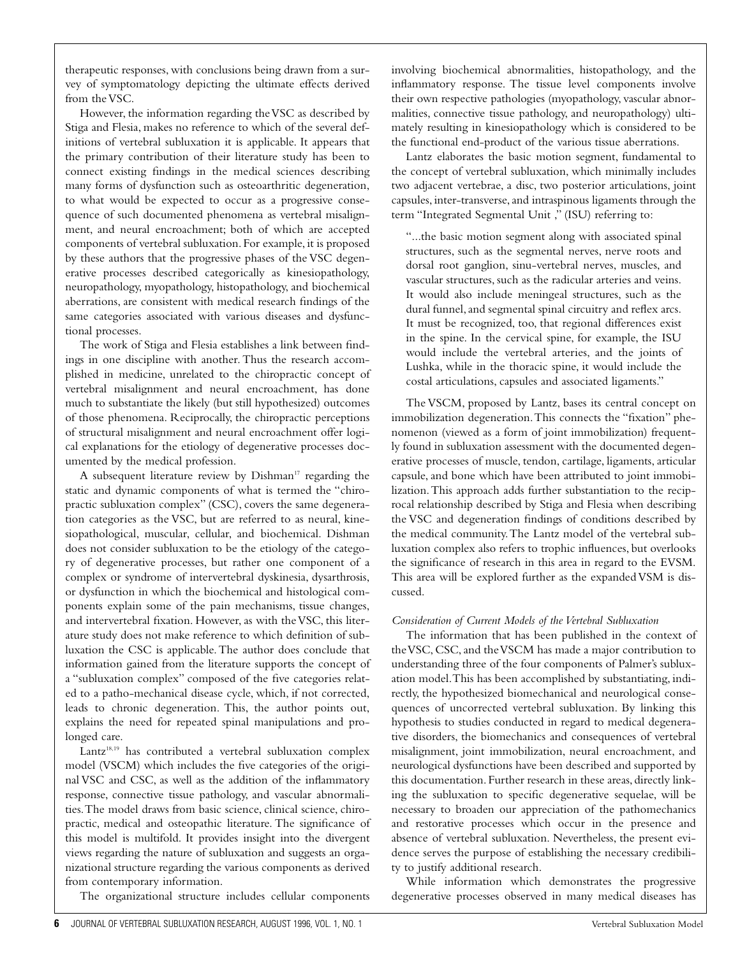therapeutic responses, with conclusions being drawn from a survey of symptomatology depicting the ultimate effects derived from the VSC.

However, the information regarding the VSC as described by Stiga and Flesia, makes no reference to which of the several definitions of vertebral subluxation it is applicable. It appears that the primary contribution of their literature study has been to connect existing findings in the medical sciences describing many forms of dysfunction such as osteoarthritic degeneration, to what would be expected to occur as a progressive consequence of such documented phenomena as vertebral misalignment, and neural encroachment; both of which are accepted components of vertebral subluxation. For example, it is proposed by these authors that the progressive phases of the VSC degenerative processes described categorically as kinesiopathology, neuropathology, myopathology, histopathology, and biochemical aberrations, are consistent with medical research findings of the same categories associated with various diseases and dysfunctional processes.

The work of Stiga and Flesia establishes a link between findings in one discipline with another. Thus the research accomplished in medicine, unrelated to the chiropractic concept of vertebral misalignment and neural encroachment, has done much to substantiate the likely (but still hypothesized) outcomes of those phenomena. Reciprocally, the chiropractic perceptions of structural misalignment and neural encroachment offer logical explanations for the etiology of degenerative processes documented by the medical profession.

A subsequent literature review by Dishman<sup>17</sup> regarding the static and dynamic components of what is termed the "chiropractic subluxation complex" (CSC), covers the same degeneration categories as the VSC, but are referred to as neural, kinesiopathological, muscular, cellular, and biochemical. Dishman does not consider subluxation to be the etiology of the category of degenerative processes, but rather one component of a complex or syndrome of intervertebral dyskinesia, dysarthrosis, or dysfunction in which the biochemical and histological components explain some of the pain mechanisms, tissue changes, and intervertebral fixation. However, as with the VSC, this literature study does not make reference to which definition of subluxation the CSC is applicable.The author does conclude that information gained from the literature supports the concept of a "subluxation complex" composed of the five categories related to a patho-mechanical disease cycle, which, if not corrected, leads to chronic degeneration. This, the author points out, explains the need for repeated spinal manipulations and prolonged care.

Lantz<sup>18,19</sup> has contributed a vertebral subluxation complex model (VSCM) which includes the five categories of the original VSC and CSC, as well as the addition of the inflammatory response, connective tissue pathology, and vascular abnormalities.The model draws from basic science, clinical science, chiropractic, medical and osteopathic literature. The significance of this model is multifold. It provides insight into the divergent views regarding the nature of subluxation and suggests an organizational structure regarding the various components as derived from contemporary information.

The organizational structure includes cellular components

involving biochemical abnormalities, histopathology, and the inflammatory response. The tissue level components involve their own respective pathologies (myopathology, vascular abnormalities, connective tissue pathology, and neuropathology) ultimately resulting in kinesiopathology which is considered to be the functional end-product of the various tissue aberrations.

Lantz elaborates the basic motion segment, fundamental to the concept of vertebral subluxation, which minimally includes two adjacent vertebrae, a disc, two posterior articulations, joint capsules, inter-transverse, and intraspinous ligaments through the term "Integrated Segmental Unit ," (ISU) referring to:

"...the basic motion segment along with associated spinal structures, such as the segmental nerves, nerve roots and dorsal root ganglion, sinu-vertebral nerves, muscles, and vascular structures, such as the radicular arteries and veins. It would also include meningeal structures, such as the dural funnel, and segmental spinal circuitry and reflex arcs. It must be recognized, too, that regional differences exist in the spine. In the cervical spine, for example, the ISU would include the vertebral arteries, and the joints of Lushka, while in the thoracic spine, it would include the costal articulations, capsules and associated ligaments."

The VSCM, proposed by Lantz, bases its central concept on immobilization degeneration.This connects the "fixation" phenomenon (viewed as a form of joint immobilization) frequently found in subluxation assessment with the documented degenerative processes of muscle, tendon, cartilage, ligaments, articular capsule, and bone which have been attributed to joint immobilization.This approach adds further substantiation to the reciprocal relationship described by Stiga and Flesia when describing the VSC and degeneration findings of conditions described by the medical community.The Lantz model of the vertebral subluxation complex also refers to trophic influences, but overlooks the significance of research in this area in regard to the EVSM. This area will be explored further as the expanded VSM is discussed.

#### *Consideration of Current Models of the Vertebral Subluxation*

The information that has been published in the context of the VSC, CSC, and the VSCM has made a major contribution to understanding three of the four components of Palmer's subluxation model.This has been accomplished by substantiating, indirectly, the hypothesized biomechanical and neurological consequences of uncorrected vertebral subluxation. By linking this hypothesis to studies conducted in regard to medical degenerative disorders, the biomechanics and consequences of vertebral misalignment, joint immobilization, neural encroachment, and neurological dysfunctions have been described and supported by this documentation. Further research in these areas, directly linking the subluxation to specific degenerative sequelae, will be necessary to broaden our appreciation of the pathomechanics and restorative processes which occur in the presence and absence of vertebral subluxation. Nevertheless, the present evidence serves the purpose of establishing the necessary credibility to justify additional research.

While information which demonstrates the progressive degenerative processes observed in many medical diseases has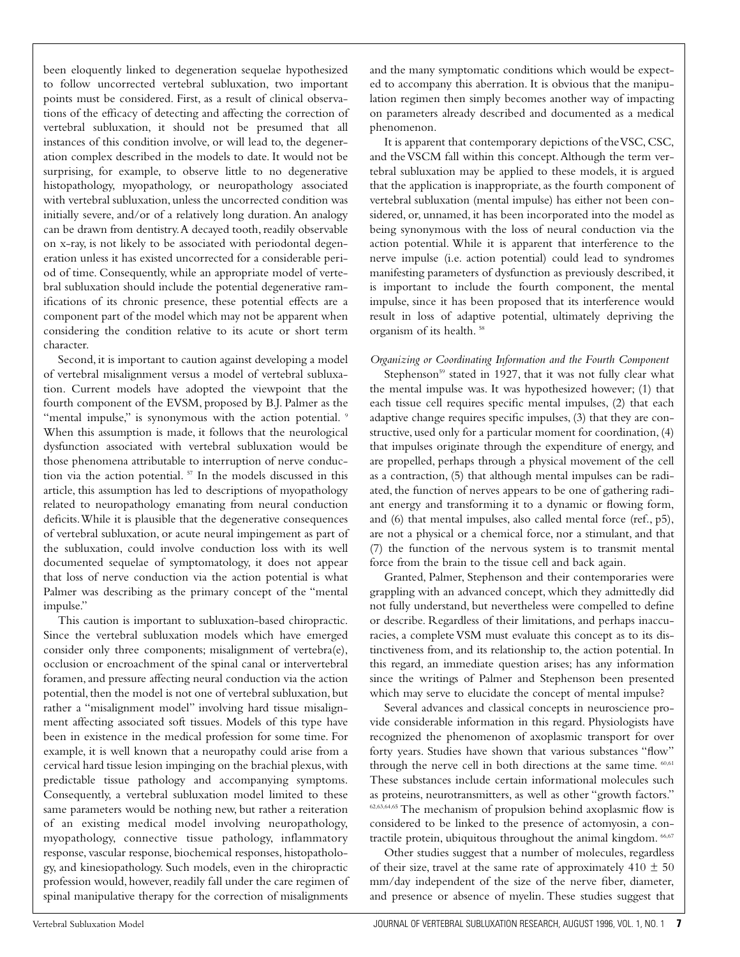been eloquently linked to degeneration sequelae hypothesized to follow uncorrected vertebral subluxation, two important points must be considered. First, as a result of clinical observations of the efficacy of detecting and affecting the correction of vertebral subluxation, it should not be presumed that all instances of this condition involve, or will lead to, the degeneration complex described in the models to date. It would not be surprising, for example, to observe little to no degenerative histopathology, myopathology, or neuropathology associated with vertebral subluxation, unless the uncorrected condition was initially severe, and/or of a relatively long duration. An analogy can be drawn from dentistry.A decayed tooth, readily observable on x-ray, is not likely to be associated with periodontal degeneration unless it has existed uncorrected for a considerable period of time. Consequently, while an appropriate model of vertebral subluxation should include the potential degenerative ramifications of its chronic presence, these potential effects are a component part of the model which may not be apparent when considering the condition relative to its acute or short term character.

Second, it is important to caution against developing a model of vertebral misalignment versus a model of vertebral subluxation. Current models have adopted the viewpoint that the fourth component of the EVSM, proposed by B.J. Palmer as the "mental impulse," is synonymous with the action potential. 9 When this assumption is made, it follows that the neurological dysfunction associated with vertebral subluxation would be those phenomena attributable to interruption of nerve conduction via the action potential. <sup>57</sup> In the models discussed in this article, this assumption has led to descriptions of myopathology related to neuropathology emanating from neural conduction deficits.While it is plausible that the degenerative consequences of vertebral subluxation, or acute neural impingement as part of the subluxation, could involve conduction loss with its well documented sequelae of symptomatology, it does not appear that loss of nerve conduction via the action potential is what Palmer was describing as the primary concept of the "mental impulse."

This caution is important to subluxation-based chiropractic. Since the vertebral subluxation models which have emerged consider only three components; misalignment of vertebra(e), occlusion or encroachment of the spinal canal or intervertebral foramen, and pressure affecting neural conduction via the action potential, then the model is not one of vertebral subluxation, but rather a "misalignment model" involving hard tissue misalignment affecting associated soft tissues. Models of this type have been in existence in the medical profession for some time. For example, it is well known that a neuropathy could arise from a cervical hard tissue lesion impinging on the brachial plexus,with predictable tissue pathology and accompanying symptoms. Consequently, a vertebral subluxation model limited to these same parameters would be nothing new, but rather a reiteration of an existing medical model involving neuropathology, myopathology, connective tissue pathology, inflammatory response, vascular response, biochemical responses, histopathology, and kinesiopathology. Such models, even in the chiropractic profession would, however, readily fall under the care regimen of spinal manipulative therapy for the correction of misalignments and the many symptomatic conditions which would be expected to accompany this aberration. It is obvious that the manipulation regimen then simply becomes another way of impacting on parameters already described and documented as a medical phenomenon.

It is apparent that contemporary depictions of the VSC, CSC, and the VSCM fall within this concept.Although the term vertebral subluxation may be applied to these models, it is argued that the application is inappropriate, as the fourth component of vertebral subluxation (mental impulse) has either not been considered, or, unnamed, it has been incorporated into the model as being synonymous with the loss of neural conduction via the action potential. While it is apparent that interference to the nerve impulse (i.e. action potential) could lead to syndromes manifesting parameters of dysfunction as previously described, it is important to include the fourth component, the mental impulse, since it has been proposed that its interference would result in loss of adaptive potential, ultimately depriving the organism of its health. <sup>58</sup>

#### *Organizing or Coordinating Information and the Fourth Component*

Stephenson<sup>59</sup> stated in 1927, that it was not fully clear what the mental impulse was. It was hypothesized however; (1) that each tissue cell requires specific mental impulses, (2) that each adaptive change requires specific impulses, (3) that they are constructive, used only for a particular moment for coordination, (4) that impulses originate through the expenditure of energy, and are propelled, perhaps through a physical movement of the cell as a contraction, (5) that although mental impulses can be radiated, the function of nerves appears to be one of gathering radiant energy and transforming it to a dynamic or flowing form, and (6) that mental impulses, also called mental force (ref., p5), are not a physical or a chemical force, nor a stimulant, and that (7) the function of the nervous system is to transmit mental force from the brain to the tissue cell and back again.

Granted, Palmer, Stephenson and their contemporaries were grappling with an advanced concept, which they admittedly did not fully understand, but nevertheless were compelled to define or describe. Regardless of their limitations, and perhaps inaccuracies, a complete VSM must evaluate this concept as to its distinctiveness from, and its relationship to, the action potential. In this regard, an immediate question arises; has any information since the writings of Palmer and Stephenson been presented which may serve to elucidate the concept of mental impulse?

Several advances and classical concepts in neuroscience provide considerable information in this regard. Physiologists have recognized the phenomenon of axoplasmic transport for over forty years. Studies have shown that various substances "flow" through the nerve cell in both directions at the same time.  $60,61$ These substances include certain informational molecules such as proteins, neurotransmitters, as well as other "growth factors." 62,63,64,65 The mechanism of propulsion behind axoplasmic flow is considered to be linked to the presence of actomyosin, a contractile protein, ubiquitous throughout the animal kingdom. <sup>66,67</sup>

Other studies suggest that a number of molecules, regardless of their size, travel at the same rate of approximately  $410 \pm 50$ mm/day independent of the size of the nerve fiber, diameter, and presence or absence of myelin. These studies suggest that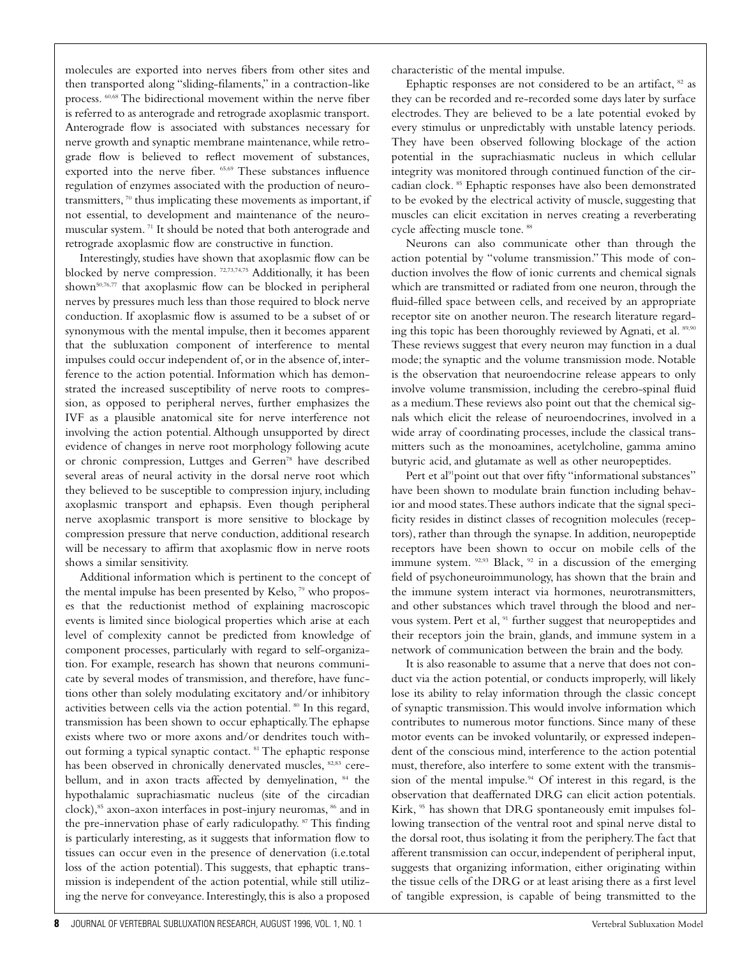molecules are exported into nerves fibers from other sites and then transported along "sliding-filaments," in a contraction-like process. 60,68 The bidirectional movement within the nerve fiber is referred to as anterograde and retrograde axoplasmic transport. Anterograde flow is associated with substances necessary for nerve growth and synaptic membrane maintenance, while retrograde flow is believed to reflect movement of substances, exported into the nerve fiber. 65,69 These substances influence regulation of enzymes associated with the production of neurotransmitters, <sup>70</sup> thus implicating these movements as important, if not essential, to development and maintenance of the neuromuscular system. <sup>71</sup> It should be noted that both anterograde and retrograde axoplasmic flow are constructive in function.

Interestingly, studies have shown that axoplasmic flow can be blocked by nerve compression. 72,73,74,75 Additionally, it has been shown<sup>50,76,77</sup> that axoplasmic flow can be blocked in peripheral nerves by pressures much less than those required to block nerve conduction. If axoplasmic flow is assumed to be a subset of or synonymous with the mental impulse, then it becomes apparent that the subluxation component of interference to mental impulses could occur independent of, or in the absence of, interference to the action potential. Information which has demonstrated the increased susceptibility of nerve roots to compression, as opposed to peripheral nerves, further emphasizes the IVF as a plausible anatomical site for nerve interference not involving the action potential. Although unsupported by direct evidence of changes in nerve root morphology following acute or chronic compression, Luttges and Gerren78 have described several areas of neural activity in the dorsal nerve root which they believed to be susceptible to compression injury, including axoplasmic transport and ephapsis. Even though peripheral nerve axoplasmic transport is more sensitive to blockage by compression pressure that nerve conduction, additional research will be necessary to affirm that axoplasmic flow in nerve roots shows a similar sensitivity.

Additional information which is pertinent to the concept of the mental impulse has been presented by Kelso, <sup>79</sup> who proposes that the reductionist method of explaining macroscopic events is limited since biological properties which arise at each level of complexity cannot be predicted from knowledge of component processes, particularly with regard to self-organization. For example, research has shown that neurons communicate by several modes of transmission, and therefore, have functions other than solely modulating excitatory and/or inhibitory activities between cells via the action potential. <sup>80</sup> In this regard, transmission has been shown to occur ephaptically.The ephapse exists where two or more axons and/or dendrites touch without forming a typical synaptic contact. <sup>81</sup> The ephaptic response has been observed in chronically denervated muscles, <sup>82,83</sup> cerebellum, and in axon tracts affected by demyelination, <sup>84</sup> the hypothalamic suprachiasmatic nucleus (site of the circadian clock),<sup>85</sup> axon-axon interfaces in post-injury neuromas, <sup>86</sup> and in the pre-innervation phase of early radiculopathy. <sup>87</sup> This finding is particularly interesting, as it suggests that information flow to tissues can occur even in the presence of denervation (i.e.total loss of the action potential). This suggests, that ephaptic transmission is independent of the action potential, while still utilizing the nerve for conveyance. Interestingly, this is also a proposed characteristic of the mental impulse.

Ephaptic responses are not considered to be an artifact, <sup>82</sup> as they can be recorded and re-recorded some days later by surface electrodes. They are believed to be a late potential evoked by every stimulus or unpredictably with unstable latency periods. They have been observed following blockage of the action potential in the suprachiasmatic nucleus in which cellular integrity was monitored through continued function of the circadian clock. <sup>85</sup> Ephaptic responses have also been demonstrated to be evoked by the electrical activity of muscle, suggesting that muscles can elicit excitation in nerves creating a reverberating cycle affecting muscle tone. <sup>88</sup>

Neurons can also communicate other than through the action potential by "volume transmission." This mode of conduction involves the flow of ionic currents and chemical signals which are transmitted or radiated from one neuron, through the fluid-filled space between cells, and received by an appropriate receptor site on another neuron.The research literature regarding this topic has been thoroughly reviewed by Agnati, et al. 89,90 These reviews suggest that every neuron may function in a dual mode; the synaptic and the volume transmission mode. Notable is the observation that neuroendocrine release appears to only involve volume transmission, including the cerebro-spinal fluid as a medium.These reviews also point out that the chemical signals which elicit the release of neuroendocrines, involved in a wide array of coordinating processes, include the classical transmitters such as the monoamines, acetylcholine, gamma amino butyric acid, and glutamate as well as other neuropeptides.

Pert et al<sup>91</sup>point out that over fifty "informational substances" have been shown to modulate brain function including behavior and mood states.These authors indicate that the signal specificity resides in distinct classes of recognition molecules (receptors), rather than through the synapse. In addition, neuropeptide receptors have been shown to occur on mobile cells of the immune system.  $92,93$  Black,  $92$  in a discussion of the emerging field of psychoneuroimmunology, has shown that the brain and the immune system interact via hormones, neurotransmitters, and other substances which travel through the blood and nervous system. Pert et al, <sup>91</sup> further suggest that neuropeptides and their receptors join the brain, glands, and immune system in a network of communication between the brain and the body.

It is also reasonable to assume that a nerve that does not conduct via the action potential, or conducts improperly, will likely lose its ability to relay information through the classic concept of synaptic transmission.This would involve information which contributes to numerous motor functions. Since many of these motor events can be invoked voluntarily, or expressed independent of the conscious mind, interference to the action potential must, therefore, also interfere to some extent with the transmission of the mental impulse.<sup>94</sup> Of interest in this regard, is the observation that deaffernated DRG can elicit action potentials. Kirk, <sup>95</sup> has shown that DRG spontaneously emit impulses following transection of the ventral root and spinal nerve distal to the dorsal root, thus isolating it from the periphery.The fact that afferent transmission can occur, independent of peripheral input, suggests that organizing information, either originating within the tissue cells of the DRG or at least arising there as a first level of tangible expression, is capable of being transmitted to the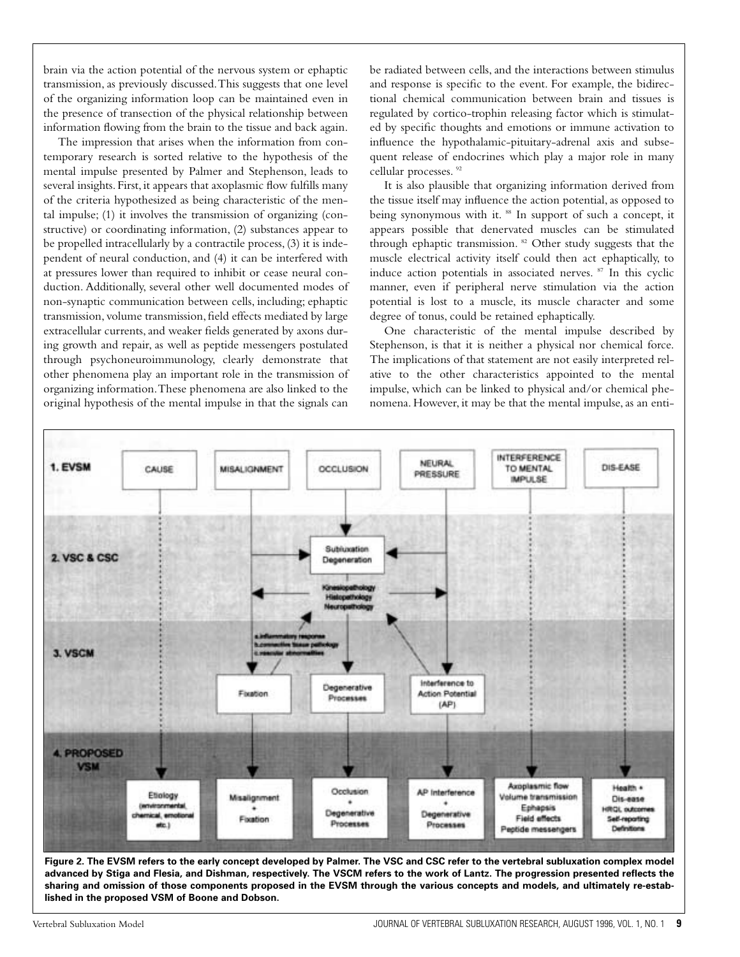brain via the action potential of the nervous system or ephaptic transmission, as previously discussed.This suggests that one level of the organizing information loop can be maintained even in the presence of transection of the physical relationship between information flowing from the brain to the tissue and back again.

The impression that arises when the information from contemporary research is sorted relative to the hypothesis of the mental impulse presented by Palmer and Stephenson, leads to several insights. First, it appears that axoplasmic flow fulfills many of the criteria hypothesized as being characteristic of the mental impulse; (1) it involves the transmission of organizing (constructive) or coordinating information, (2) substances appear to be propelled intracellularly by a contractile process, (3) it is independent of neural conduction, and (4) it can be interfered with at pressures lower than required to inhibit or cease neural conduction. Additionally, several other well documented modes of non-synaptic communication between cells, including; ephaptic transmission, volume transmission, field effects mediated by large extracellular currents, and weaker fields generated by axons during growth and repair, as well as peptide messengers postulated through psychoneuroimmunology, clearly demonstrate that other phenomena play an important role in the transmission of organizing information.These phenomena are also linked to the original hypothesis of the mental impulse in that the signals can

be radiated between cells, and the interactions between stimulus and response is specific to the event. For example, the bidirectional chemical communication between brain and tissues is regulated by cortico-trophin releasing factor which is stimulated by specific thoughts and emotions or immune activation to influence the hypothalamic-pituitary-adrenal axis and subsequent release of endocrines which play a major role in many cellular processes. 92

It is also plausible that organizing information derived from the tissue itself may influence the action potential, as opposed to being synonymous with it. <sup>88</sup> In support of such a concept, it appears possible that denervated muscles can be stimulated through ephaptic transmission. <sup>82</sup> Other study suggests that the muscle electrical activity itself could then act ephaptically, to induce action potentials in associated nerves. <sup>87</sup> In this cyclic manner, even if peripheral nerve stimulation via the action potential is lost to a muscle, its muscle character and some degree of tonus, could be retained ephaptically.

One characteristic of the mental impulse described by Stephenson, is that it is neither a physical nor chemical force. The implications of that statement are not easily interpreted relative to the other characteristics appointed to the mental impulse, which can be linked to physical and/or chemical phenomena. However, it may be that the mental impulse, as an enti-



**Figure 2. The EVSM refers to the early concept developed by Palmer. The VSC and CSC refer to the vertebral subluxation complex model advanced by Stiga and Flesia, and Dishman, respectively. The VSCM refers to the work of Lantz. The progression presented reflects the sharing and omission of those components proposed in the EVSM through the various concepts and models, and ultimately re-established in the proposed VSM of Boone and Dobson.**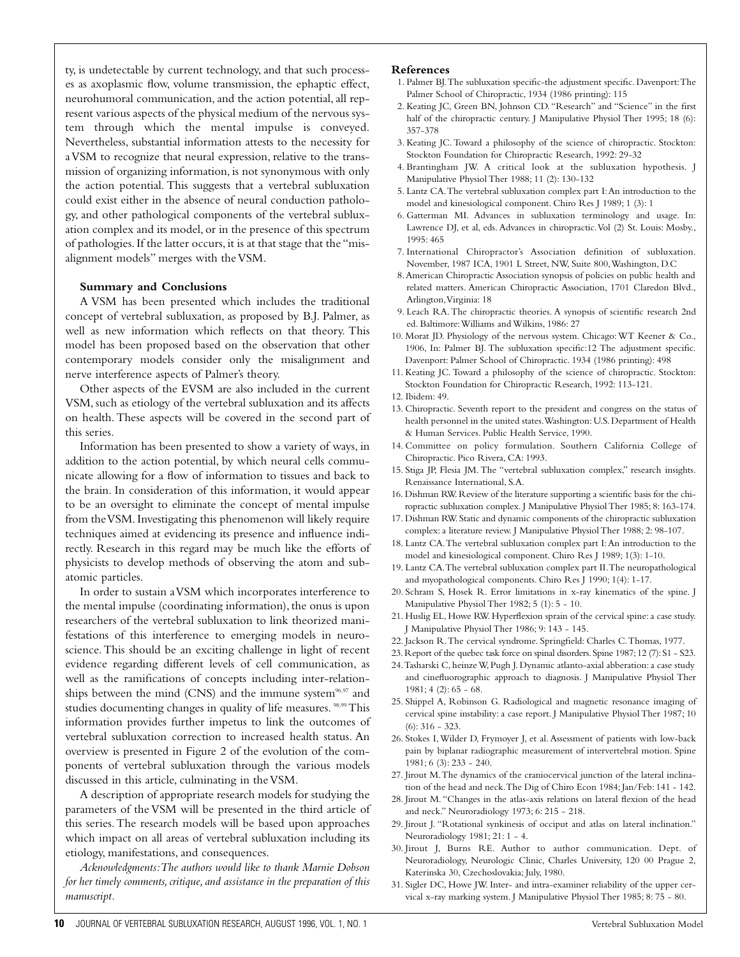ty, is undetectable by current technology, and that such processes as axoplasmic flow, volume transmission, the ephaptic effect, neurohumoral communication, and the action potential, all represent various aspects of the physical medium of the nervous system through which the mental impulse is conveyed. Nevertheless, substantial information attests to the necessity for a VSM to recognize that neural expression, relative to the transmission of organizing information, is not synonymous with only the action potential. This suggests that a vertebral subluxation could exist either in the absence of neural conduction pathology, and other pathological components of the vertebral subluxation complex and its model, or in the presence of this spectrum of pathologies. If the latter occurs, it is at that stage that the "misalignment models" merges with the VSM.

#### **Summary and Conclusions**

A VSM has been presented which includes the traditional concept of vertebral subluxation, as proposed by B.J. Palmer, as well as new information which reflects on that theory. This model has been proposed based on the observation that other contemporary models consider only the misalignment and nerve interference aspects of Palmer's theory.

Other aspects of the EVSM are also included in the current VSM, such as etiology of the vertebral subluxation and its affects on health. These aspects will be covered in the second part of this series.

Information has been presented to show a variety of ways, in addition to the action potential, by which neural cells communicate allowing for a flow of information to tissues and back to the brain. In consideration of this information, it would appear to be an oversight to eliminate the concept of mental impulse from the VSM. Investigating this phenomenon will likely require techniques aimed at evidencing its presence and influence indirectly. Research in this regard may be much like the efforts of physicists to develop methods of observing the atom and subatomic particles.

In order to sustain a VSM which incorporates interference to the mental impulse (coordinating information), the onus is upon researchers of the vertebral subluxation to link theorized manifestations of this interference to emerging models in neuroscience.This should be an exciting challenge in light of recent evidence regarding different levels of cell communication, as well as the ramifications of concepts including inter-relationships between the mind (CNS) and the immune system $96,97$  and studies documenting changes in quality of life measures. <sup>98,99</sup> This information provides further impetus to link the outcomes of vertebral subluxation correction to increased health status. An overview is presented in Figure 2 of the evolution of the components of vertebral subluxation through the various models discussed in this article, culminating in the VSM.

A description of appropriate research models for studying the parameters of the VSM will be presented in the third article of this series.The research models will be based upon approaches which impact on all areas of vertebral subluxation including its etiology, manifestations, and consequences.

*Acknowledgments:The authors would like to thank Marnie Dobson for her timely comments, critique, and assistance in the preparation of this manuscript.*

#### **References**

- 1. Palmer BJ.The subluxation specific-the adjustment specific. Davenport:The Palmer School of Chiropractic, 1934 (1986 printing): 115
- 2. Keating JC, Green BN, Johnson CD. "Research" and "Science" in the first half of the chiropractic century. J Manipulative Physiol Ther 1995; 18 (6): 357-378
- 3. Keating JC. Toward a philosophy of the science of chiropractic. Stockton: Stockton Foundation for Chiropractic Research, 1992: 29-32
- 4. Brantingham JW. A critical look at the subluxation hypothesis. J Manipulative Physiol Ther 1988; 11 (2): 130-132
- 5. Lantz CA.The vertebral subluxation complex part I:An introduction to the model and kinesiological component. Chiro Res J 1989; 1 (3): 1
- 6. Gatterman MI. Advances in subluxation terminology and usage. In: Lawrence DJ, et al, eds. Advances in chiropractic.Vol (2) St. Louis: Mosby., 1995: 465
- 7. International Chiropractor's Association definition of subluxation. November, 1987 ICA, 1901 L Street, NW, Suite 800,Washington, D.C
- 8.American Chiropractic Association synopsis of policies on public health and related matters. American Chiropractic Association, 1701 Claredon Blvd., Arlington,Virginia: 18
- 9. Leach RA. The chiropractic theories. A synopsis of scientific research 2nd ed. Baltimore:Williams and Wilkins, 1986: 27
- 10. Morat JD. Physiology of the nervous system. Chicago:WT Keener & Co., 1906, In: Palmer BJ. The subluxation specific:12 The adjustment specific. Davenport: Palmer School of Chiropractic. 1934 (1986 printing): 498
- 11. Keating JC. Toward a philosophy of the science of chiropractic. Stockton: Stockton Foundation for Chiropractic Research, 1992: 113-121.
- 12. Ibidem: 49.
- 13. Chiropractic. Seventh report to the president and congress on the status of health personnel in the united states.Washington: U.S. Department of Health & Human Services. Public Health Service, 1990.
- 14. Committee on policy formulation. Southern California College of Chiropractic. Pico Rivera, CA: 1993.
- 15. Stiga JP, Flesia JM. The "vertebral subluxation complex," research insights. Renaissance International, S.A.
- 16. Dishman RW. Review of the literature supporting a scientific basis for the chiropractic subluxation complex. J Manipulative Physiol Ther 1985; 8: 163-174.
- 17. Dishman RW. Static and dynamic components of the chiropractic subluxation complex: a literature review. J Manipulative Physiol Ther 1988; 2: 98-107.
- 18. Lantz CA.The vertebral subluxation complex part I:An introduction to the model and kinesiological component. Chiro Res J 1989; 1(3): 1-10.
- 19. Lantz CA.The vertebral subluxation complex part II.The neuropathological and myopathological components. Chiro Res J 1990; 1(4): 1-17.
- 20. Schram S, Hosek R. Error limitations in x-ray kinematics of the spine. J Manipulative Physiol Ther 1982; 5 (1): 5 - 10.
- 21. Huslig EL, Howe RW. Hyperflexion sprain of the cervical spine: a case study. J Manipulative Physiol Ther 1986; 9: 143 - 145.
- 22. Jackson R.The cervical syndrome. Springfield: Charles C.Thomas, 1977.
- 23. Report of the quebec task force on spinal disorders.Spine 1987;12 (7):S1 S23.
- 24.Tasharski C, heinze W, Pugh J. Dynamic atlanto-axial abberation: a case study and cinefluorographic approach to diagnosis. J Manipulative Physiol Ther  $1981; 4(2): 65 - 68.$
- 25. Shippel A, Robinson G. Radiological and magnetic resonance imaging of cervical spine instability: a case report. J Manipulative Physiol Ther 1987; 10 (6): 316 - 323.
- 26. Stokes I,Wilder D, Frymoyer J, et al. Assessment of patients with low-back pain by biplanar radiographic measurement of intervertebral motion. Spine 1981; 6 (3): 233 - 240.
- 27. Jirout M.The dynamics of the craniocervical junction of the lateral inclination of the head and neck.The Dig of Chiro Econ 1984; Jan/Feb: 141 - 142.
- 28. Jirout M. "Changes in the atlas-axis relations on lateral flexion of the head and neck." Neuroradiology 1973; 6: 215 - 218.
- 29. Jirout J. "Rotational synkinesis of occiput and atlas on lateral inclination." Neuroradiology 1981; 21: 1 - 4.
- 30. Jirout J, Burns RE. Author to author communication. Dept. of Neuroradiology, Neurologic Clinic, Charles University, 120 00 Prague 2, Katerinska 30, Czechoslovakia; July, 1980.
- 31. Sigler DC, Howe JW. Inter- and intra-examiner reliability of the upper cervical x-ray marking system. J Manipulative Physiol Ther 1985; 8: 75 - 80.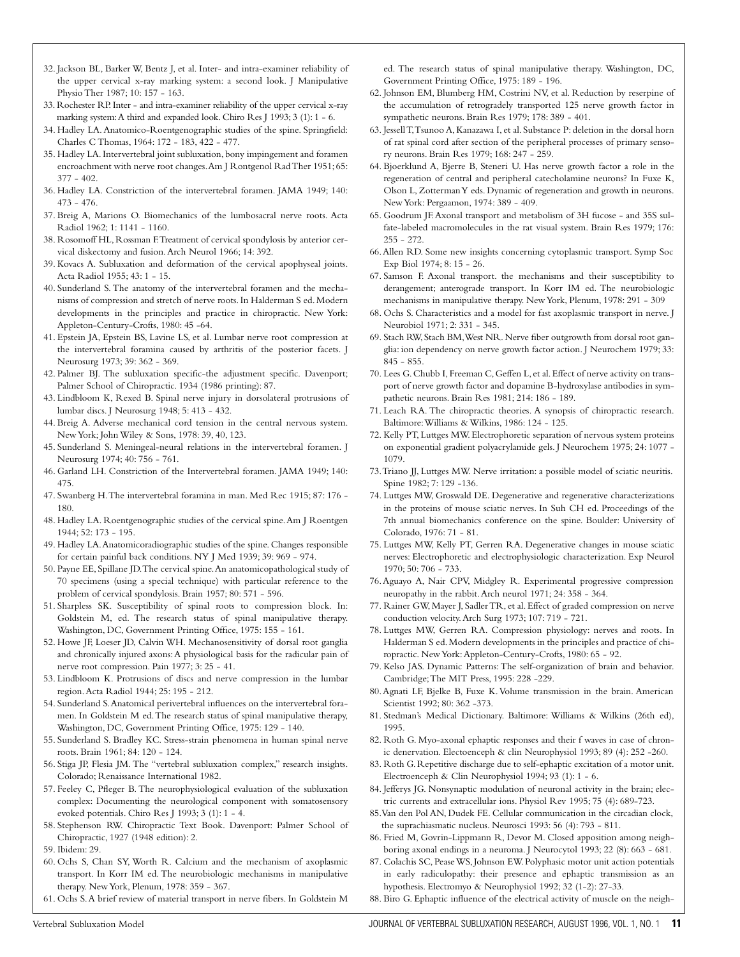- 32. Jackson BL, Barker W, Bentz J, et al. Inter- and intra-examiner reliability of the upper cervical x-ray marking system: a second look. J Manipulative Physio Ther 1987; 10: 157 - 163.
- 33. Rochester RP. Inter and intra-examiner reliability of the upper cervical x-ray marking system:A third and expanded look. Chiro Res J 1993; 3 (1): 1 - 6.
- 34. Hadley LA. Anatomico-Roentgenographic studies of the spine. Springfield: Charles C Thomas, 1964: 172 - 183, 422 - 477.
- 35. Hadley LA. Intervertebral joint subluxation, bony impingement and foramen encroachment with nerve root changes.Am J Rontgenol Rad Ther 1951; 65: 377 - 402.
- 36. Hadley LA. Constriction of the intervertebral foramen. JAMA 1949; 140: 473 - 476.
- 37. Breig A, Marions O. Biomechanics of the lumbosacral nerve roots. Acta Radiol 1962; 1: 1141 - 1160.
- 38. Rosomoff HL, Rossman F.Treatment of cervical spondylosis by anterior cervical diskectomy and fusion.Arch Neurol 1966; 14: 392.
- 39. Kovacs A. Subluxation and deformation of the cervical apophyseal joints. Acta Radiol 1955; 43: 1 - 15.
- 40. Sunderland S. The anatomy of the intervertebral foramen and the mechanisms of compression and stretch of nerve roots. In Halderman S ed. Modern developments in the principles and practice in chiropractic. New York: Appleton-Century-Crofts, 1980: 45 -64.
- 41. Epstein JA, Epstein BS, Lavine LS, et al. Lumbar nerve root compression at the intervertebral foramina caused by arthritis of the posterior facets. J Neurosurg 1973; 39: 362 - 369.
- 42. Palmer BJ. The subluxation specific-the adjustment specific. Davenport; Palmer School of Chiropractic. 1934 (1986 printing): 87.
- 43. Lindbloom K, Rexed B. Spinal nerve injury in dorsolateral protrusions of lumbar discs. J Neurosurg 1948; 5: 413 - 432.
- 44. Breig A. Adverse mechanical cord tension in the central nervous system. New York; John Wiley & Sons, 1978: 39, 40, 123.
- 45. Sunderland S. Meningeal-neural relations in the intervertebral foramen. J Neurosurg 1974; 40: 756 - 761.
- 46. Garland LH. Constriction of the Intervertebral foramen. JAMA 1949; 140: 475.
- 47. Swanberg H.The intervertebral foramina in man. Med Rec 1915; 87: 176 180.
- 48. Hadley LA. Roentgenographic studies of the cervical spine.Am J Roentgen 1944; 52: 173 - 195.
- 49. Hadley LA.Anatomicoradiographic studies of the spine. Changes responsible for certain painful back conditions. NY J Med 1939; 39: 969 - 974.
- 50. Payne EE, Spillane JD.The cervical spine.An anatomicopathological study of 70 specimens (using a special technique) with particular reference to the problem of cervical spondylosis. Brain 1957; 80: 571 - 596.
- 51. Sharpless SK. Susceptibility of spinal roots to compression block. In: Goldstein M, ed. The research status of spinal manipulative therapy. Washington, DC, Government Printing Office, 1975: 155 - 161.
- 52. Howe JF, Loeser JD, Calvin WH. Mechanosensitivity of dorsal root ganglia and chronically injured axons:A physiological basis for the radicular pain of nerve root compression. Pain 1977; 3: 25 - 41.
- 53. Lindbloom K. Protrusions of discs and nerve compression in the lumbar region.Acta Radiol 1944; 25: 195 - 212.
- 54. Sunderland S.Anatomical perivertebral influences on the intervertebral foramen. In Goldstein M ed.The research status of spinal manipulative therapy, Washington, DC, Government Printing Office, 1975: 129 - 140.
- 55. Sunderland S. Bradley KC. Stress-strain phenomena in human spinal nerve roots. Brain 1961; 84: 120 - 124.
- 56. Stiga JP, Flesia JM. The "vertebral subluxation complex," research insights. Colorado; Renaissance International 1982.
- 57. Feeley C, Pfleger B. The neurophysiological evaluation of the subluxation complex: Documenting the neurological component with somatosensory evoked potentials. Chiro Res J 1993; 3 (1): 1 - 4.
- 58. Stephenson RW. Chiropractic Text Book. Davenport: Palmer School of Chiropractic, 1927 (1948 edition): 2.
- 59. Ibidem: 29.
- 60. Ochs S, Chan SY, Worth R. Calcium and the mechanism of axoplasmic transport. In Korr IM ed. The neurobiologic mechanisms in manipulative therapy. New York, Plenum, 1978: 359 - 367.
- 61. Ochs S.A brief review of material transport in nerve fibers. In Goldstein M

ed. The research status of spinal manipulative therapy. Washington, DC, Government Printing Office, 1975: 189 - 196.

- 62. Johnson EM, Blumberg HM, Costrini NV, et al. Reduction by reserpine of the accumulation of retrogradely transported 125 nerve growth factor in sympathetic neurons. Brain Res 1979; 178: 389 - 401.
- 63. Jessell T,Tsunoo A, Kanazawa I, et al. Substance P: deletion in the dorsal horn of rat spinal cord after section of the peripheral processes of primary sensory neurons. Brain Res 1979; 168: 247 - 259.
- 64. Bjoerklund A, Bjerre B, Steneri U. Has nerve growth factor a role in the regeneration of central and peripheral catecholamine neurons? In Fuxe K, Olson L, Zotterman Y eds. Dynamic of regeneration and growth in neurons. New York: Pergaamon, 1974: 389 - 409.
- 65. Goodrum JF.Axonal transport and metabolism of 3H fucose and 35S sulfate-labeled macromolecules in the rat visual system. Brain Res 1979; 176: 255 - 272.
- 66.Allen RD. Some new insights concerning cytoplasmic transport. Symp Soc Exp Biol 1974; 8: 15 - 26.
- 67. Samson F. Axonal transport. the mechanisms and their susceptibility to derangement; anterograde transport. In Korr IM ed. The neurobiologic mechanisms in manipulative therapy. New York, Plenum, 1978: 291 - 309
- 68. Ochs S. Characteristics and a model for fast axoplasmic transport in nerve. J Neurobiol 1971; 2: 331 - 345.
- 69. Stach RW, Stach BM, West NR. Nerve fiber outgrowth from dorsal root ganglia: ion dependency on nerve growth factor action. J Neurochem 1979; 33: 845 - 855.
- 70. Lees G. Chubb I, Freeman C, Geffen L, et al. Effect of nerve activity on transport of nerve growth factor and dopamine B-hydroxylase antibodies in sympathetic neurons. Brain Res 1981; 214: 186 - 189.
- 71. Leach RA. The chiropractic theories. A synopsis of chiropractic research. Baltimore:Williams & Wilkins, 1986: 124 - 125.
- 72. Kelly PT, Luttges MW. Electrophoretic separation of nervous system proteins on exponential gradient polyacrylamide gels. J Neurochem 1975; 24: 1077 - 1079.
- 73.Triano JJ, Luttges MW. Nerve irritation: a possible model of sciatic neuritis. Spine 1982; 7: 129 -136.
- 74. Luttges MW, Groswald DE. Degenerative and regenerative characterizations in the proteins of mouse sciatic nerves. In Suh CH ed. Proceedings of the 7th annual biomechanics conference on the spine. Boulder: University of Colorado, 1976: 71 - 81.
- 75. Luttges MW, Kelly PT, Gerren RA. Degenerative changes in mouse sciatic nerves: Electrophoretic and electrophysiologic characterization. Exp Neurol 1970; 50: 706 - 733.
- 76.Aguayo A, Nair CPV, Midgley R. Experimental progressive compression neuropathy in the rabbit.Arch neurol 1971; 24: 358 - 364.
- 77. Rainer GW, Mayer J, Sadler TR, et al. Effect of graded compression on nerve conduction velocity.Arch Surg 1973; 107: 719 - 721.
- 78. Luttges MW, Gerren RA. Compression physiology: nerves and roots. In Halderman S ed.Modern developments in the principles and practice of chiropractic. New York:Appleton-Century-Crofts, 1980: 65 - 92.
- 79. Kelso JAS. Dynamic Patterns: The self-organization of brain and behavior. Cambridge;The MIT Press, 1995: 228 -229.
- 80.Agnati LF, Bjelke B, Fuxe K. Volume transmission in the brain. American Scientist 1992; 80: 362 -373.
- 81. Stedman's Medical Dictionary. Baltimore: Williams & Wilkins (26th ed), 1995.
- 82. Roth G. Myo-axonal ephaptic responses and their f waves in case of chronic denervation. Electoenceph & clin Neurophysiol 1993; 89 (4): 252 -260.
- 83. Roth G. Repetitive discharge due to self-ephaptic excitation of a motor unit. Electroenceph & Clin Neurophysiol 1994; 93 (1): 1 - 6.
- 84. Jefferys JG. Nonsynaptic modulation of neuronal activity in the brain; electric currents and extracellular ions. Physiol Rev 1995; 75 (4): 689-723.
- 85.Van den Pol AN, Dudek FE. Cellular communication in the circadian clock, the suprachiasmatic nucleus. Neurosci 1993: 56 (4): 793 - 811.
- 86. Fried M, Govrin-Lippmann R, Devor M. Closed apposition among neighboring axonal endings in a neuroma. J Neurocytol 1993; 22 (8): 663 - 681.
- 87. Colachis SC, Pease WS, Johnson EW. Polyphasic motor unit action potentials in early radiculopathy: their presence and ephaptic transmission as an hypothesis. Electromyo & Neurophysiol 1992; 32 (1-2): 27-33.
- 88. Biro G. Ephaptic influence of the electrical activity of muscle on the neigh-